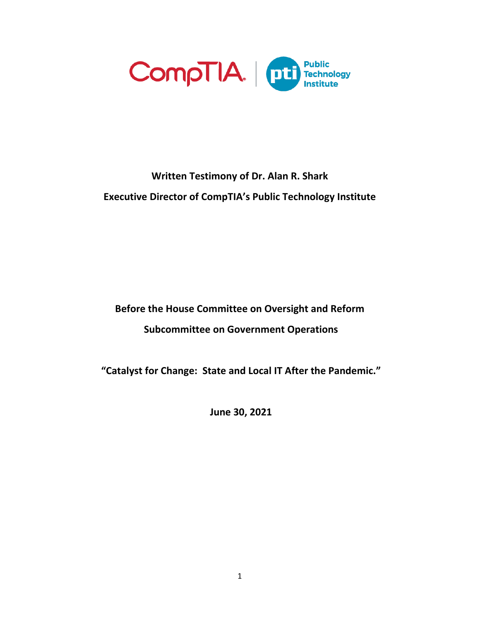

# **Written Testimony of Dr. Alan R. Shark Executive Director of CompTIA's Public Technology Institute**

**Before the House Committee on Oversight and Reform Subcommittee on Government Operations**

**"Catalyst for Change: State and Local IT After the Pandemic."** 

**June 30, 2021**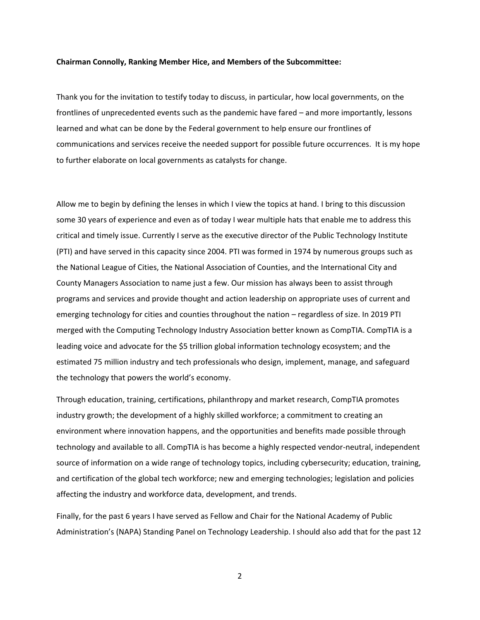#### **Chairman Connolly, Ranking Member Hice, and Members of the Subcommittee:**

Thank you for the invitation to testify today to discuss, in particular, how local governments, on the frontlines of unprecedented events such as the pandemic have fared – and more importantly, lessons learned and what can be done by the Federal government to help ensure our frontlines of communications and services receive the needed support for possible future occurrences. It is my hope to further elaborate on local governments as catalysts for change.

Allow me to begin by defining the lenses in which I view the topics at hand. I bring to this discussion some 30 years of experience and even as of today I wear multiple hats that enable me to address this critical and timely issue. Currently I serve as the executive director of the Public Technology Institute (PTI) and have served in this capacity since 2004. PTI was formed in 1974 by numerous groups such as the National League of Cities, the National Association of Counties, and the International City and County Managers Association to name just a few. Our mission has always been to assist through programs and services and provide thought and action leadership on appropriate uses of current and emerging technology for cities and counties throughout the nation – regardless of size. In 2019 PTI merged with the Computing Technology Industry Association better known as CompTIA. CompTIA is a leading voice and advocate for the \$5 trillion global information technology ecosystem; and the estimated 75 million industry and tech professionals who design, implement, manage, and safeguard the technology that powers the world's economy.

Through education, training, certifications, philanthropy and market research, CompTIA promotes industry growth; the development of a highly skilled workforce; a commitment to creating an environment where innovation happens, and the opportunities and benefits made possible through technology and available to all. CompTIA is has become a highly respected vendor-neutral, independent source of information on a wide range of technology topics, including cybersecurity; education, training, and certification of the global tech workforce; new and emerging technologies; legislation and policies affecting the industry and workforce data, development, and trends.

Finally, for the past 6 years I have served as Fellow and Chair for the National Academy of Public Administration's (NAPA) Standing Panel on Technology Leadership. I should also add that for the past 12

2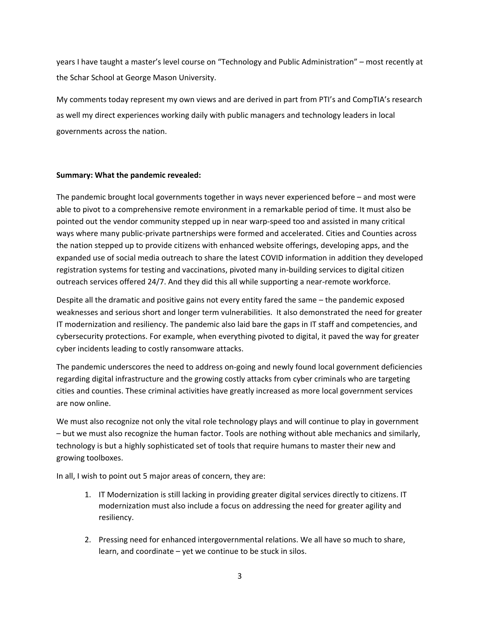years I have taught a master's level course on "Technology and Public Administration" – most recently at the Schar School at George Mason University.

My comments today represent my own views and are derived in part from PTI's and CompTIA's research as well my direct experiences working daily with public managers and technology leaders in local governments across the nation.

## **Summary: What the pandemic revealed:**

The pandemic brought local governments together in ways never experienced before – and most were able to pivot to a comprehensive remote environment in a remarkable period of time. It must also be pointed out the vendor community stepped up in near warp-speed too and assisted in many critical ways where many public-private partnerships were formed and accelerated. Cities and Counties across the nation stepped up to provide citizens with enhanced website offerings, developing apps, and the expanded use of social media outreach to share the latest COVID information in addition they developed registration systems for testing and vaccinations, pivoted many in-building services to digital citizen outreach services offered 24/7. And they did this all while supporting a near-remote workforce.

Despite all the dramatic and positive gains not every entity fared the same – the pandemic exposed weaknesses and serious short and longer term vulnerabilities. It also demonstrated the need for greater IT modernization and resiliency. The pandemic also laid bare the gaps in IT staff and competencies, and cybersecurity protections. For example, when everything pivoted to digital, it paved the way for greater cyber incidents leading to costly ransomware attacks.

The pandemic underscores the need to address on-going and newly found local government deficiencies regarding digital infrastructure and the growing costly attacks from cyber criminals who are targeting cities and counties. These criminal activities have greatly increased as more local government services are now online.

We must also recognize not only the vital role technology plays and will continue to play in government – but we must also recognize the human factor. Tools are nothing without able mechanics and similarly, technology is but a highly sophisticated set of tools that require humans to master their new and growing toolboxes.

In all, I wish to point out 5 major areas of concern, they are:

- 1. IT Modernization is still lacking in providing greater digital services directly to citizens. IT modernization must also include a focus on addressing the need for greater agility and resiliency.
- 2. Pressing need for enhanced intergovernmental relations. We all have so much to share, learn, and coordinate – yet we continue to be stuck in silos.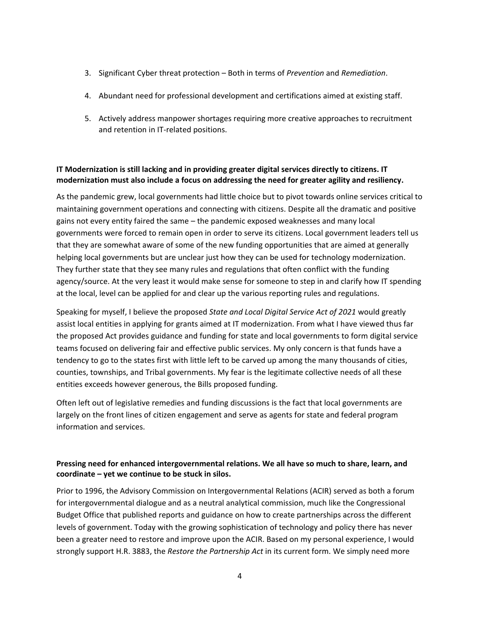- 3. Significant Cyber threat protection Both in terms of *Prevention* and *Remediation*.
- 4. Abundant need for professional development and certifications aimed at existing staff.
- 5. Actively address manpower shortages requiring more creative approaches to recruitment and retention in IT-related positions.

# **IT Modernization is still lacking and in providing greater digital services directly to citizens. IT modernization must also include a focus on addressing the need for greater agility and resiliency.**

As the pandemic grew, local governments had little choice but to pivot towards online services critical to maintaining government operations and connecting with citizens. Despite all the dramatic and positive gains not every entity faired the same – the pandemic exposed weaknesses and many local governments were forced to remain open in order to serve its citizens. Local government leaders tell us that they are somewhat aware of some of the new funding opportunities that are aimed at generally helping local governments but are unclear just how they can be used for technology modernization. They further state that they see many rules and regulations that often conflict with the funding agency/source. At the very least it would make sense for someone to step in and clarify how IT spending at the local, level can be applied for and clear up the various reporting rules and regulations.

Speaking for myself, I believe the proposed *State and Local Digital Service Act of 2021* would greatly assist local entities in applying for grants aimed at IT modernization. From what I have viewed thus far the proposed Act provides guidance and funding for state and local governments to form digital service teams focused on delivering fair and effective public services. My only concern is that funds have a tendency to go to the states first with little left to be carved up among the many thousands of cities, counties, townships, and Tribal governments. My fear is the legitimate collective needs of all these entities exceeds however generous, the Bills proposed funding.

Often left out of legislative remedies and funding discussions is the fact that local governments are largely on the front lines of citizen engagement and serve as agents for state and federal program information and services.

# **Pressing need for enhanced intergovernmental relations. We all have so much to share, learn, and coordinate – yet we continue to be stuck in silos.**

Prior to 1996, the Advisory Commission on Intergovernmental Relations (ACIR) served as both a forum for intergovernmental dialogue and as a neutral analytical commission, much like the Congressional Budget Office that published reports and guidance on how to create partnerships across the different levels of government. Today with the growing sophistication of technology and policy there has never been a greater need to restore and improve upon the ACIR. Based on my personal experience, I would strongly support H.R. 3883, the *Restore the Partnership Act* in its current form. We simply need more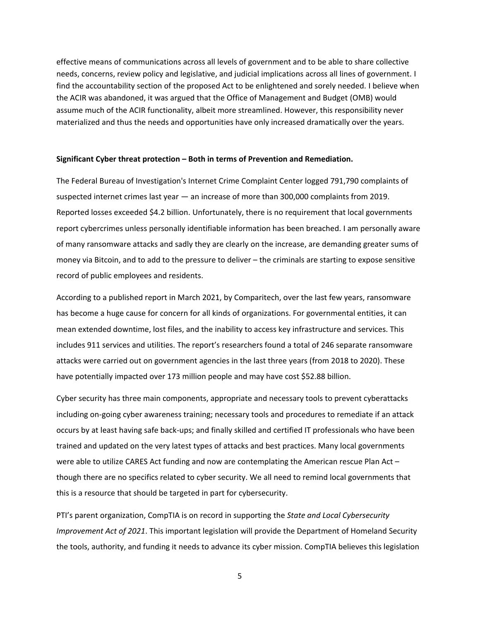effective means of communications across all levels of government and to be able to share collective needs, concerns, review policy and legislative, and judicial implications across all lines of government. I find the accountability section of the proposed Act to be enlightened and sorely needed. I believe when the ACIR was abandoned, it was argued that the Office of Management and Budget (OMB) would assume much of the ACIR functionality, albeit more streamlined. However, this responsibility never materialized and thus the needs and opportunities have only increased dramatically over the years.

#### **Significant Cyber threat protection – Both in terms of Prevention and Remediation.**

The Federal Bureau of Investigation's Internet Crime Complaint Center logged 791,790 complaints of suspected internet crimes last year — an increase of more than 300,000 complaints from 2019. Reported losses exceeded \$4.2 billion. Unfortunately, there is no requirement that local governments report cybercrimes unless personally identifiable information has been breached. I am personally aware of many ransomware attacks and sadly they are clearly on the increase, are demanding greater sums of money via Bitcoin, and to add to the pressure to deliver – the criminals are starting to expose sensitive record of public employees and residents.

According to a published report in March 2021, by Comparitech, over the last few years, ransomware has become a huge cause for concern for all kinds of organizations. For governmental entities, it can mean extended downtime, lost files, and the inability to access key infrastructure and services. This includes 911 services and utilities. The report's researchers found a total of 246 separate ransomware attacks were carried out on government agencies in the last three years (from 2018 to 2020). These have potentially impacted over 173 million people and may have cost \$52.88 billion.

Cyber security has three main components, appropriate and necessary tools to prevent cyberattacks including on-going cyber awareness training; necessary tools and procedures to remediate if an attack occurs by at least having safe back-ups; and finally skilled and certified IT professionals who have been trained and updated on the very latest types of attacks and best practices. Many local governments were able to utilize CARES Act funding and now are contemplating the American rescue Plan Act – though there are no specifics related to cyber security. We all need to remind local governments that this is a resource that should be targeted in part for cybersecurity.

PTI's parent organization, CompTIA is on record in supporting the *State and Local Cybersecurity Improvement Act of 2021*. This important legislation will provide the Department of Homeland Security the tools, authority, and funding it needs to advance its cyber mission. CompTIA believes this legislation

5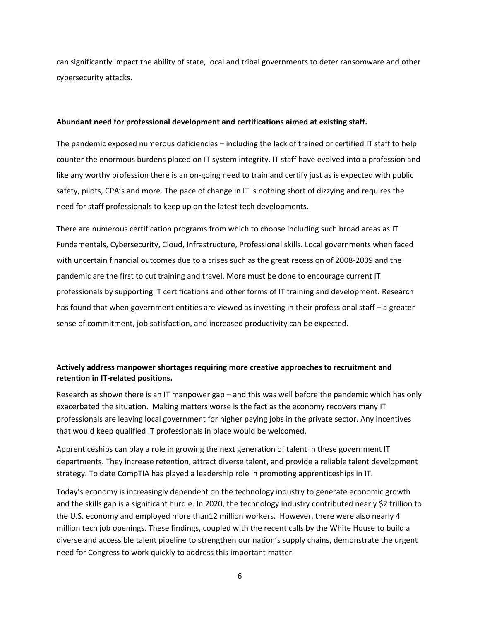can significantly impact the ability of state, local and tribal governments to deter ransomware and other cybersecurity attacks.

#### **Abundant need for professional development and certifications aimed at existing staff.**

The pandemic exposed numerous deficiencies – including the lack of trained or certified IT staff to help counter the enormous burdens placed on IT system integrity. IT staff have evolved into a profession and like any worthy profession there is an on-going need to train and certify just as is expected with public safety, pilots, CPA's and more. The pace of change in IT is nothing short of dizzying and requires the need for staff professionals to keep up on the latest tech developments.

There are numerous certification programs from which to choose including such broad areas as IT Fundamentals, Cybersecurity, Cloud, Infrastructure, Professional skills. Local governments when faced with uncertain financial outcomes due to a crises such as the great recession of 2008-2009 and the pandemic are the first to cut training and travel. More must be done to encourage current IT professionals by supporting IT certifications and other forms of IT training and development. Research has found that when government entities are viewed as investing in their professional staff – a greater sense of commitment, job satisfaction, and increased productivity can be expected.

## **Actively address manpower shortages requiring more creative approaches to recruitment and retention in IT-related positions.**

Research as shown there is an IT manpower gap – and this was well before the pandemic which has only exacerbated the situation. Making matters worse is the fact as the economy recovers many IT professionals are leaving local government for higher paying jobs in the private sector. Any incentives that would keep qualified IT professionals in place would be welcomed.

Apprenticeships can play a role in growing the next generation of talent in these government IT departments. They increase retention, attract diverse talent, and provide a reliable talent development strategy. To date CompTIA has played a leadership role in promoting apprenticeships in IT.

Today's economy is increasingly dependent on the technology industry to generate economic growth and the skills gap is a significant hurdle. In 2020, the technology industry contributed nearly \$2 trillion to the U.S. economy and employed more than12 million workers. However, there were also nearly 4 million tech job openings. These findings, coupled with the recent calls by the White House to build a diverse and accessible talent pipeline to strengthen our nation's supply chains, demonstrate the urgent need for Congress to work quickly to address this important matter.